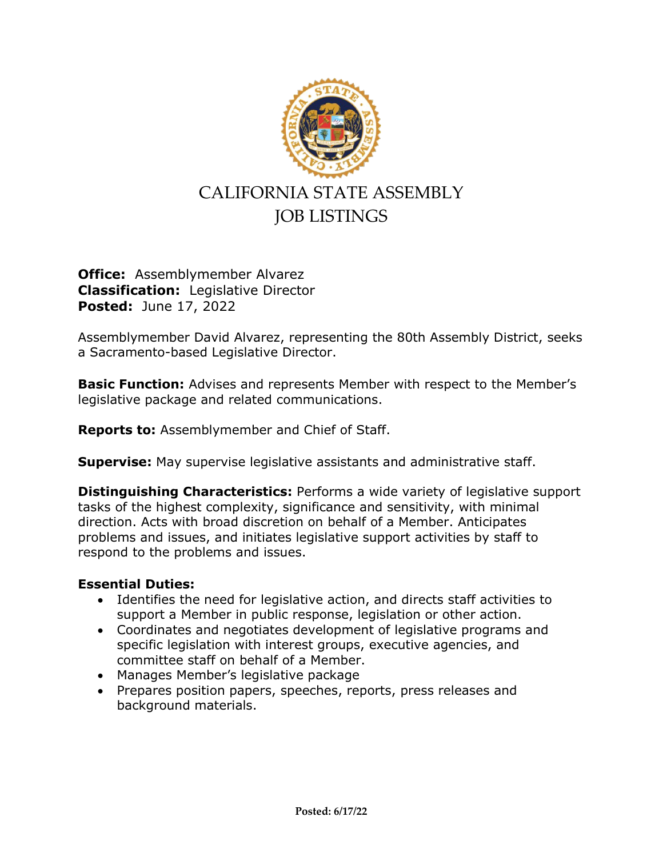

**Office:** Assemblymember Alvarez **Classification:** Legislative Director **Posted:** June 17, 2022

Assemblymember David Alvarez, representing the 80th Assembly District, seeks a Sacramento-based Legislative Director.

**Basic Function:** Advises and represents Member with respect to the Member's legislative package and related communications.

**Reports to:** Assemblymember and Chief of Staff.

**Supervise:** May supervise legislative assistants and administrative staff.

**Distinguishing Characteristics:** Performs a wide variety of legislative support tasks of the highest complexity, significance and sensitivity, with minimal direction. Acts with broad discretion on behalf of a Member. Anticipates problems and issues, and initiates legislative support activities by staff to respond to the problems and issues.

## **Essential Duties:**

- Identifies the need for legislative action, and directs staff activities to support a Member in public response, legislation or other action.
- Coordinates and negotiates development of legislative programs and specific legislation with interest groups, executive agencies, and committee staff on behalf of a Member.
- Manages Member's legislative package
- Prepares position papers, speeches, reports, press releases and background materials.